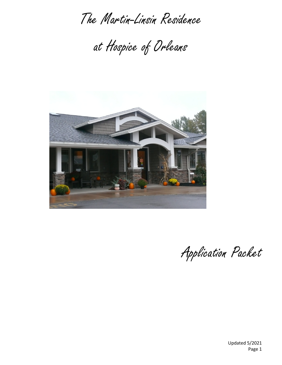The Martin-Linsin Residence

at Hospice of Orleans



Application Packet

Updated 5/2021 Page 1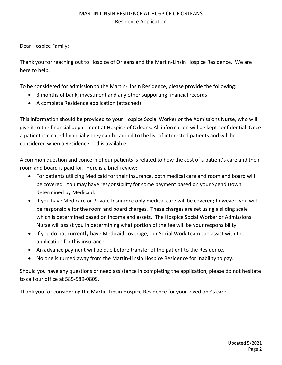## MARTIN LINSIN RESIDENCE AT HOSPICE OF ORLEANS Residence Application

Dear Hospice Family:

Thank you for reaching out to Hospice of Orleans and the Martin-Linsin Hospice Residence. We are here to help.

To be considered for admission to the Martin-Linsin Residence, please provide the following:

- 3 months of bank, investment and any other supporting financial records
- A complete Residence application (attached)

This information should be provided to your Hospice Social Worker or the Admissions Nurse, who will give it to the financial department at Hospice of Orleans. All information will be kept confidential. Once a patient is cleared financially they can be added to the list of interested patients and will be considered when a Residence bed is available.

A common question and concern of our patients is related to how the cost of a patient's care and their room and board is paid for. Here is a brief review:

- For patients utilizing Medicaid for their insurance, both medical care and room and board will be covered. You may have responsibility for some payment based on your Spend Down determined by Medicaid.
- If you have Medicare or Private Insurance only medical care will be covered; however, you will be responsible for the room and board charges. These charges are set using a sliding scale which is determined based on income and assets. The Hospice Social Worker or Admissions Nurse will assist you in determining what portion of the fee will be your responsibility.
- If you do not currently have Medicaid coverage, our Social Work team can assist with the application for this insurance.
- An advance payment will be due before transfer of the patient to the Residence.
- No one is turned away from the Martin-Linsin Hospice Residence for inability to pay.

Should you have any questions or need assistance in completing the application, please do not hesitate to call our office at 585-589-0809.

Thank you for considering the Martin-Linsin Hospice Residence for your loved one's care.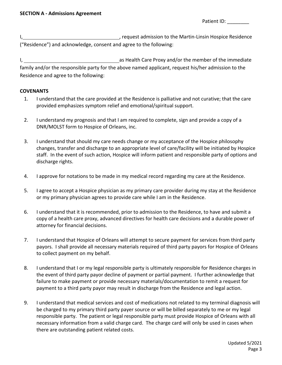Patient ID:

I, the matrix of the Martin-Linsin Hospice Residence is the Martin-Linsin Hospice Residence ("Residence") and acknowledge, consent and agree to the following:

I, 1. As Health Care Proxy and/or the member of the immediate in the member of the immediate family and/or the responsible party for the above named applicant, request his/her admission to the Residence and agree to the following:

### **COVENANTS**

- 1. I understand that the care provided at the Residence is palliative and not curative; that the care provided emphasizes symptom relief and emotional/spiritual support.
- 2. I understand my prognosis and that I am required to complete, sign and provide a copy of a DNR/MOLST form to Hospice of Orleans, inc.
- 3. I understand that should my care needs change or my acceptance of the Hospice philosophy changes, transfer and discharge to an appropriate level of care/facility will be initiated by Hospice staff. In the event of such action, Hospice will inform patient and responsible party of options and discharge rights.
- 4. I approve for notations to be made in my medical record regarding my care at the Residence.
- 5. I agree to accept a Hospice physician as my primary care provider during my stay at the Residence or my primary physician agrees to provide care while I am in the Residence.
- 6. I understand that it is recommended, prior to admission to the Residence, to have and submit a copy of a health care proxy, advanced directives for health care decisions and a durable power of attorney for financial decisions.
- 7. I understand that Hospice of Orleans will attempt to secure payment for services from third party payors. I shall provide all necessary materials required of third party payors for Hospice of Orleans to collect payment on my behalf.
- 8. I understand that I or my legal responsible party is ultimately responsible for Residence charges in the event of third party payor decline of payment or partial payment. I further acknowledge that failure to make payment or provide necessary materials/documentation to remit a request for payment to a third party payor may result in discharge from the Residence and legal action.
- 9. I understand that medical services and cost of medications not related to my terminal diagnosis will be charged to my primary third party payer source or will be billed separately to me or my legal responsible party. The patient or legal responsible party must provide Hospice of Orleans with all necessary information from a valid charge card. The charge card will only be used in cases when there are outstanding patient related costs.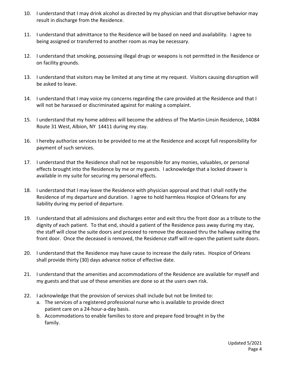- 10. I understand that I may drink alcohol as directed by my physician and that disruptive behavior may result in discharge from the Residence.
- 11. I understand that admittance to the Residence will be based on need and availability. I agree to being assigned or transferred to another room as may be necessary.
- 12. I understand that smoking, possessing illegal drugs or weapons is not permitted in the Residence or on facility grounds.
- 13. I understand that visitors may be limited at any time at my request. Visitors causing disruption will be asked to leave.
- 14. I understand that I may voice my concerns regarding the care provided at the Residence and that I will not be harassed or discriminated against for making a complaint.
- 15. I understand that my home address will become the address of The Martin-Linsin Residence, 14084 Route 31 West, Albion, NY 14411 during my stay.
- 16. I hereby authorize services to be provided to me at the Residence and accept full responsibility for payment of such services.
- 17. I understand that the Residence shall not be responsible for any monies, valuables, or personal effects brought into the Residence by me or my guests. I acknowledge that a locked drawer is available in my suite for securing my personal effects.
- 18. I understand that I may leave the Residence with physician approval and that I shall notify the Residence of my departure and duration. I agree to hold harmless Hospice of Orleans for any liability during my period of departure.
- 19. I understand that all admissions and discharges enter and exit thru the front door as a tribute to the dignity of each patient. To that end, should a patient of the Residence pass away during my stay, the staff will close the suite doors and proceed to remove the deceased thru the hallway exiting the front door. Once the deceased is removed, the Residence staff will re-open the patient suite doors.
- 20. I understand that the Residence may have cause to increase the daily rates. Hospice of Orleans shall provide thirty (30) days advance notice of effective date.
- 21. I understand that the amenities and accommodations of the Residence are available for myself and my guests and that use of these amenities are done so at the users own risk.
- 22. I acknowledge that the provision of services shall include but not be limited to:
	- a. The services of a registered professional nurse who is available to provide direct patient care on a 24-hour-a-day basis.
	- b. Accommodations to enable families to store and prepare food brought in by the family.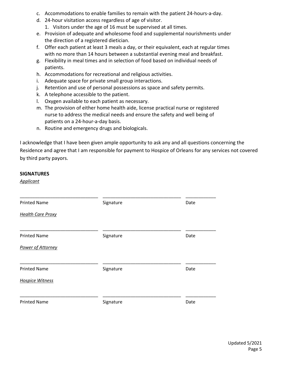- c. Accommodations to enable families to remain with the patient 24-hours-a-day.
- d. 24-hour visitation access regardless of age of visitor.
	- 1. Visitors under the age of 16 must be supervised at all times.
- e. Provision of adequate and wholesome food and supplemental nourishments under the direction of a registered dietician.
- f. Offer each patient at least 3 meals a day, or their equivalent, each at regular times with no more than 14 hours between a substantial evening meal and breakfast.
- g. Flexibility in meal times and in selection of food based on individual needs of patients.
- h. Accommodations for recreational and religious activities.
- i. Adequate space for private small group interactions.
- j. Retention and use of personal possessions as space and safety permits.
- k. A telephone accessible to the patient.
- l. Oxygen available to each patient as necessary.
- m. The provision of either home health aide, license practical nurse or registered nurse to address the medical needs and ensure the safety and well being of patients on a 24-hour-a-day basis.
- n. Routine and emergency drugs and biologicals.

I acknowledge that I have been given ample opportunity to ask any and all questions concerning the Residence and agree that I am responsible for payment to Hospice of Orleans for any services not covered by third party payors.

### **SIGNATURES**

*Applicant* 

| <b>Printed Name</b>      | Signature | Date |
|--------------------------|-----------|------|
| <b>Health Care Proxy</b> |           |      |
| <b>Printed Name</b>      | Signature | Date |
| <b>Power of Attorney</b> |           |      |
| <b>Printed Name</b>      | Signature | Date |
| <b>Hospice Witness</b>   |           |      |
| <b>Printed Name</b>      | Signature | Date |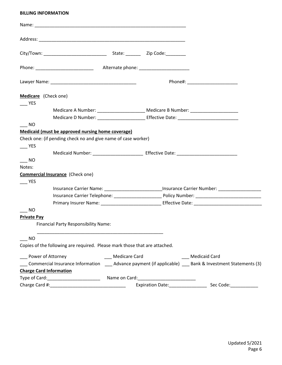#### **BILLING INFORMATION**

|                                | Phone: ____________________________ Alternate phone: ___________________________ |               |                  |                                                                                                                  |
|--------------------------------|----------------------------------------------------------------------------------|---------------|------------------|------------------------------------------------------------------------------------------------------------------|
|                                |                                                                                  |               |                  | Phone#: ________________________                                                                                 |
| Medicare (Check one)           |                                                                                  |               |                  |                                                                                                                  |
| <b>YES</b>                     |                                                                                  |               |                  |                                                                                                                  |
|                                |                                                                                  |               |                  | Medicare A Number: _________________________ Medicare B Number: ________________                                 |
|                                |                                                                                  |               |                  | Medicare D Number: ________________________________Effective Date: _________________________________             |
| $\overline{\phantom{0}}$ NO    |                                                                                  |               |                  |                                                                                                                  |
|                                | Medicaid (must be approved nursing home coverage)                                |               |                  |                                                                                                                  |
|                                | Check one: (if pending check no and give name of case worker)                    |               |                  |                                                                                                                  |
| <b>YES</b>                     |                                                                                  |               |                  |                                                                                                                  |
|                                |                                                                                  |               |                  |                                                                                                                  |
| NO <sub>1</sub>                |                                                                                  |               |                  |                                                                                                                  |
| Notes:                         |                                                                                  |               |                  |                                                                                                                  |
|                                | <b>Commercial Insurance (Check one)</b>                                          |               |                  |                                                                                                                  |
| <b>PES</b>                     |                                                                                  |               |                  |                                                                                                                  |
|                                |                                                                                  |               |                  | _Insurance Carrier Number: _____________________                                                                 |
|                                |                                                                                  |               |                  |                                                                                                                  |
|                                |                                                                                  |               |                  |                                                                                                                  |
| NO.                            |                                                                                  |               |                  |                                                                                                                  |
| <b>Private Pay</b>             |                                                                                  |               |                  |                                                                                                                  |
|                                | <b>Financial Party Responsibility Name:</b>                                      |               |                  |                                                                                                                  |
| <b>NO</b>                      |                                                                                  |               |                  |                                                                                                                  |
|                                | Copies of the following are required. Please mark those that are attached.       |               |                  |                                                                                                                  |
| Power of Attorney              |                                                                                  | Medicare Card |                  | <b>Medicaid Card</b>                                                                                             |
|                                |                                                                                  |               |                  | Commercial Insurance Information _______ Advance payment (if applicable) ______ Bank & Investment Statements (3) |
| <b>Charge Card Information</b> |                                                                                  |               |                  |                                                                                                                  |
|                                |                                                                                  |               |                  |                                                                                                                  |
|                                |                                                                                  |               | Expiration Date: | Sec Code:                                                                                                        |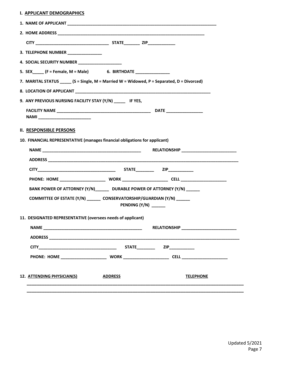| 3. TELEPHONE NUMBER _______________<br>4. SOCIAL SECURITY NUMBER _____________________<br>5. SEX $(F =$ Female, M = Male) 6. BIRTHDATE $\qquad \qquad$ |  |  |  |  |  |
|--------------------------------------------------------------------------------------------------------------------------------------------------------|--|--|--|--|--|
|                                                                                                                                                        |  |  |  |  |  |
|                                                                                                                                                        |  |  |  |  |  |
|                                                                                                                                                        |  |  |  |  |  |
|                                                                                                                                                        |  |  |  |  |  |
|                                                                                                                                                        |  |  |  |  |  |
|                                                                                                                                                        |  |  |  |  |  |
| 7. MARITAL STATUS ______ (S = Single, M = Married W = Widowed, P = Separated, D = Divorced)                                                            |  |  |  |  |  |
|                                                                                                                                                        |  |  |  |  |  |
| 9. ANY PREVIOUS NURSING FACILITY STAY (Y/N) _______ IF YES,                                                                                            |  |  |  |  |  |
|                                                                                                                                                        |  |  |  |  |  |
|                                                                                                                                                        |  |  |  |  |  |
| <b>II. RESPONSIBLE PERSONS</b>                                                                                                                         |  |  |  |  |  |
| 10. FINANCIAL REPRESENTATIVE (manages financial obligations for applicant)                                                                             |  |  |  |  |  |
|                                                                                                                                                        |  |  |  |  |  |
|                                                                                                                                                        |  |  |  |  |  |
|                                                                                                                                                        |  |  |  |  |  |
|                                                                                                                                                        |  |  |  |  |  |
| BANK POWER OF ATTORNEY (Y/N)_________ DURABLE POWER OF ATTORNEY (Y/N) _______                                                                          |  |  |  |  |  |
| COMMITTEE OF ESTATE (Y/N) ________ CONSERVATORSHIP/GUARDIAN (Y/N) _______                                                                              |  |  |  |  |  |
| PENDING (Y/N) ______                                                                                                                                   |  |  |  |  |  |
| 11. DESIGNATED REPRESENTATIVE (oversees needs of applicant)                                                                                            |  |  |  |  |  |
|                                                                                                                                                        |  |  |  |  |  |
|                                                                                                                                                        |  |  |  |  |  |
|                                                                                                                                                        |  |  |  |  |  |
|                                                                                                                                                        |  |  |  |  |  |
|                                                                                                                                                        |  |  |  |  |  |
|                                                                                                                                                        |  |  |  |  |  |
| 12. ATTENDING PHYSICIAN(S)<br><b>ADDRESS</b><br><b>TELEPHONE</b>                                                                                       |  |  |  |  |  |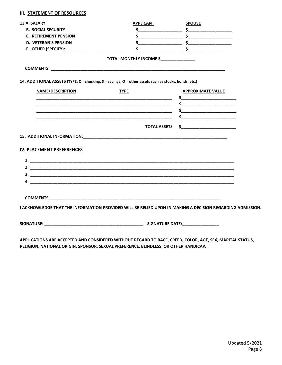#### **III. STATEMENT OF RESOURCES**

| 13 A. SALARY                                                                                                                                                                                                                   | <b>APPLICANT</b>        | <b>SPOUSE</b>                                                                                                                                                                                                                                                                                                           |  |
|--------------------------------------------------------------------------------------------------------------------------------------------------------------------------------------------------------------------------------|-------------------------|-------------------------------------------------------------------------------------------------------------------------------------------------------------------------------------------------------------------------------------------------------------------------------------------------------------------------|--|
| <b>B. SOCIAL SECURITY</b>                                                                                                                                                                                                      |                         | $\frac{\zeta}{\zeta}$ , we have the set of $\zeta$ . The set of $\zeta$ is the set of $\zeta$ is the set of $\zeta$                                                                                                                                                                                                     |  |
| <b>C. RETIREMENT PENSION</b>                                                                                                                                                                                                   |                         |                                                                                                                                                                                                                                                                                                                         |  |
| <b>D. VETERAN'S PENSION</b>                                                                                                                                                                                                    |                         | $\frac{\xi}{\xi}$ , and $\frac{\xi}{\xi}$ , and $\frac{\xi}{\xi}$ , and $\frac{\xi}{\xi}$ , and $\frac{\xi}{\xi}$ , and $\frac{\xi}{\xi}$ , and $\frac{\xi}{\xi}$ , and $\frac{\xi}{\xi}$ , and $\frac{\xi}{\xi}$ , and $\frac{\xi}{\xi}$ , and $\frac{\xi}{\xi}$ , and $\frac{\xi}{\xi}$ , and $\frac{\xi}{\xi}$ , and |  |
| E. OTHER (SPECIFY): ______________________________                                                                                                                                                                             |                         | $\frac{\zeta}{\zeta}$ , we have the set of $\zeta$                                                                                                                                                                                                                                                                      |  |
|                                                                                                                                                                                                                                | TOTAL MONTHLY INCOME \$ |                                                                                                                                                                                                                                                                                                                         |  |
|                                                                                                                                                                                                                                |                         |                                                                                                                                                                                                                                                                                                                         |  |
| 14. ADDITIONAL ASSETS (TYPE: C = checking, S = savings, O = other assets such as stocks, bonds, etc.)                                                                                                                          |                         |                                                                                                                                                                                                                                                                                                                         |  |
| NAME/DESCRIPTION                                                                                                                                                                                                               | <b>TYPE</b>             | <b>APPROXIMATE VALUE</b>                                                                                                                                                                                                                                                                                                |  |
|                                                                                                                                                                                                                                |                         |                                                                                                                                                                                                                                                                                                                         |  |
|                                                                                                                                                                                                                                |                         | $\sim$                                                                                                                                                                                                                                                                                                                  |  |
|                                                                                                                                                                                                                                |                         |                                                                                                                                                                                                                                                                                                                         |  |
|                                                                                                                                                                                                                                |                         | $\mathsf{s}$ , and the set of $\mathsf{s}$ , and the set of $\mathsf{s}$                                                                                                                                                                                                                                                |  |
|                                                                                                                                                                                                                                | TOTAL ASSETS            | $\sim$                                                                                                                                                                                                                                                                                                                  |  |
| 15. ADDITIONAL INFORMATION: And the contract of the contract of the contract of the contract of the contract of the contract of the contract of the contract of the contract of the contract of the contract of the contract o |                         |                                                                                                                                                                                                                                                                                                                         |  |
| IV. PLACEMENT PREFERENCES                                                                                                                                                                                                      |                         |                                                                                                                                                                                                                                                                                                                         |  |
|                                                                                                                                                                                                                                |                         |                                                                                                                                                                                                                                                                                                                         |  |
|                                                                                                                                                                                                                                |                         |                                                                                                                                                                                                                                                                                                                         |  |
|                                                                                                                                                                                                                                |                         |                                                                                                                                                                                                                                                                                                                         |  |
|                                                                                                                                                                                                                                |                         |                                                                                                                                                                                                                                                                                                                         |  |
|                                                                                                                                                                                                                                |                         |                                                                                                                                                                                                                                                                                                                         |  |
|                                                                                                                                                                                                                                |                         |                                                                                                                                                                                                                                                                                                                         |  |
|                                                                                                                                                                                                                                |                         |                                                                                                                                                                                                                                                                                                                         |  |
|                                                                                                                                                                                                                                |                         | <u>I ACKNOWLEDGE THAT THE INFORMATION PROVIDED WILL BE RELIED UPON IN MAKING A DECISION REGARDING ADMISSION.</u>                                                                                                                                                                                                        |  |
|                                                                                                                                                                                                                                |                         |                                                                                                                                                                                                                                                                                                                         |  |
|                                                                                                                                                                                                                                |                         |                                                                                                                                                                                                                                                                                                                         |  |

**APPLICATIONS ARE ACCEPTED AND CONSIDERED WITHOUT REGARD TO RACE, CREED, COLOR, AGE, SEX, MARITAL STATUS, RELIGION, NATIONAL ORIGIN, SPONSOR, SEXUAL PREFERENCE, BLINDLESS, OR OTHER HANDICAP.**